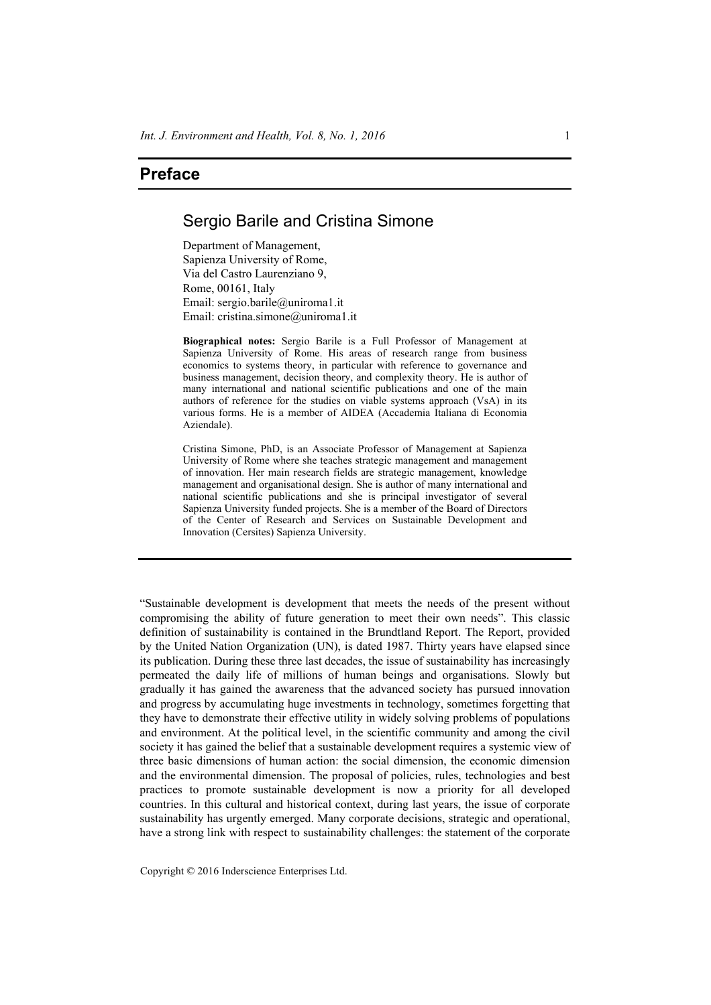## **Preface**

## Sergio Barile and Cristina Simone

Department of Management, Sapienza University of Rome, Via del Castro Laurenziano 9, Rome, 00161, Italy Email: sergio.barile@uniroma1.it Email: cristina.simone@uniroma1.it

**Biographical notes:** Sergio Barile is a Full Professor of Management at Sapienza University of Rome. His areas of research range from business economics to systems theory, in particular with reference to governance and business management, decision theory, and complexity theory. He is author of many international and national scientific publications and one of the main authors of reference for the studies on viable systems approach (VsA) in its various forms. He is a member of AIDEA (Accademia Italiana di Economia Aziendale).

Cristina Simone, PhD, is an Associate Professor of Management at Sapienza University of Rome where she teaches strategic management and management of innovation. Her main research fields are strategic management, knowledge management and organisational design. She is author of many international and national scientific publications and she is principal investigator of several Sapienza University funded projects. She is a member of the Board of Directors of the Center of Research and Services on Sustainable Development and Innovation (Cersites) Sapienza University.

"Sustainable development is development that meets the needs of the present without compromising the ability of future generation to meet their own needs". This classic definition of sustainability is contained in the Brundtland Report. The Report, provided by the United Nation Organization (UN), is dated 1987. Thirty years have elapsed since its publication. During these three last decades, the issue of sustainability has increasingly permeated the daily life of millions of human beings and organisations. Slowly but gradually it has gained the awareness that the advanced society has pursued innovation and progress by accumulating huge investments in technology, sometimes forgetting that they have to demonstrate their effective utility in widely solving problems of populations and environment. At the political level, in the scientific community and among the civil society it has gained the belief that a sustainable development requires a systemic view of three basic dimensions of human action: the social dimension, the economic dimension and the environmental dimension. The proposal of policies, rules, technologies and best practices to promote sustainable development is now a priority for all developed countries. In this cultural and historical context, during last years, the issue of corporate sustainability has urgently emerged. Many corporate decisions, strategic and operational, have a strong link with respect to sustainability challenges: the statement of the corporate

Copyright © 2016 Inderscience Enterprises Ltd.